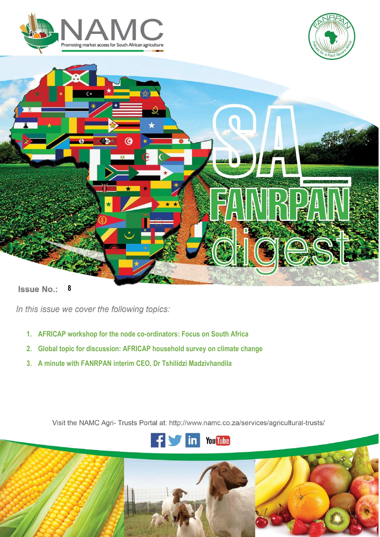





**Issue No.:** 

**i |** P a g e

In this issue we cover the following topics:

- **1. AFRICAP workshop for the node co-ordinators: Focus on South Africa**
- **2. Global topic for discussion: AFRICAP household survey on climate change**
- **3. A minute with FANRPAN interim CEO, Dr Tshilidzi Madzivhandila**

Visit the NAMC Agri- Trusts Portal at: http://www.namc.co.za/services/agricultural-trusts/

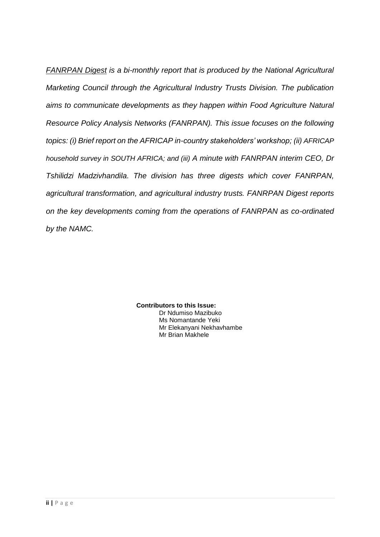*FANRPAN Digest is a bi-monthly report that is produced by the National Agricultural Marketing Council through the Agricultural Industry Trusts Division. The publication aims to communicate developments as they happen within Food Agriculture Natural Resource Policy Analysis Networks (FANRPAN). This issue focuses on the following topics: (i) Brief report on the AFRICAP in-country stakeholders' workshop; (ii) AFRICAP household survey in SOUTH AFRICA; and (iii) A minute with FANRPAN interim CEO, Dr Tshilidzi Madzivhandila. The division has three digests which cover FANRPAN, agricultural transformation, and agricultural industry trusts. FANRPAN Digest reports on the key developments coming from the operations of FANRPAN as co-ordinated by the NAMC.*

> **Contributors to this Issue:** Dr Ndumiso Mazibuko Ms Nomantande Yeki Mr Elekanyani Nekhavhambe Mr Brian Makhele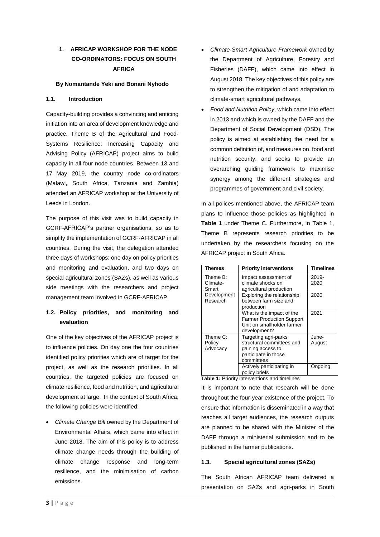# **1. AFRICAP WORKSHOP FOR THE NODE CO-ORDINATORS: FOCUS ON SOUTH AFRICA**

### **By Nomantande Yeki and Bonani Nyhodo**

### **1.1. Introduction**

Capacity-building provides a convincing and enticing initiation into an area of development knowledge and practice. Theme B of the Agricultural and Food-Systems Resilience: Increasing Capacity and Advising Policy (AFRICAP) project aims to build capacity in all four node countries. Between 13 and 17 May 2019, the country node co-ordinators (Malawi, South Africa, Tanzania and Zambia) attended an AFRICAP workshop at the University of Leeds in London.

The purpose of this visit was to build capacity in GCRF-AFRICAP's partner organisations, so as to simplify the implementation of GCRF-AFRICAP in all countries. During the visit, the delegation attended three days of workshops: one day on policy priorities and monitoring and evaluation, and two days on special agricultural zones (SAZs), as well as various side meetings with the researchers and project management team involved in GCRF-AFRICAP.

### **1.2. Policy priorities, and monitoring and evaluation**

One of the key objectives of the AFRICAP project is to influence policies. On day one the four countries identified policy priorities which are of target for the project, as well as the research priorities. In all countries, the targeted policies are focused on climate resilience, food and nutrition, and agricultural development at large. In the context of South Africa, the following policies were identified:

• *Climate Change Bill* owned by the Department of Environmental Affairs, which came into effect in June 2018. The aim of this policy is to address climate change needs through the building of climate change response and long-term resilience, and the minimisation of carbon emissions.

- *Climate-Smart Agriculture Framework* owned by the Department of Agriculture, Forestry and Fisheries (DAFF), which came into effect in August 2018. The key objectives of this policy are to strengthen the mitigation of and adaptation to climate-smart agricultural pathways.
- *Food and Nutrition Policy*, which came into effect in 2013 and which is owned by the DAFF and the Department of Social Development (DSD). The policy is aimed at establishing the need for a common definition of, and measures on, food and nutrition security, and seeks to provide an overarching guiding framework to maximise synergy among the different strategies and programmes of government and civil society.

In all polices mentioned above, the AFRICAP team plans to influence those policies as highlighted in **Table 1** under Theme C. Furthermore, in Table 1, Theme B represents research priorities to be undertaken by the researchers focusing on the AFRICAP project in South Africa.

| Themes      | <b>Priority interventions</b>    | <b>Timelines</b> |
|-------------|----------------------------------|------------------|
| Theme B:    | Impact assessment of             | 2019-            |
| Climate-    | climate shocks on                | 2020             |
| Smart       | agricultural production          |                  |
| Development | Exploring the relationship       | 2020             |
| Research    | between farm size and            |                  |
|             | production                       |                  |
|             | What is the impact of the        | 2021             |
|             | <b>Farmer Production Support</b> |                  |
|             | Unit on smallholder farmer       |                  |
|             | development?                     |                  |
| Theme C:    | Targeting agri-parks'            | June-            |
| Policy      | structural committees and        | August           |
| Advocacy    | gaining access to                |                  |
|             | participate in those             |                  |
|             | committees                       |                  |
|             | Actively participating in        | Ongoing          |
|             | policy briefs                    |                  |

**Table 1:** Priority interventions and timelines

It is important to note that research will be done throughout the four-year existence of the project. To ensure that information is disseminated in a way that reaches all target audiences, the research outputs are planned to be shared with the Minister of the DAFF through a ministerial submission and to be published in the farmer publications.

### **1.3. Special agricultural zones (SAZs)**

The South African AFRICAP team delivered a presentation on SAZs and agri-parks in South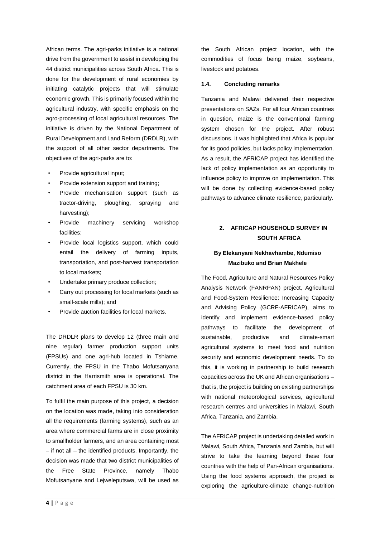African terms. The agri-parks initiative is a national drive from the government to assist in developing the 44 district municipalities across South Africa. This is done for the development of rural economies by initiating catalytic projects that will stimulate economic growth. This is primarily focused within the agricultural industry, with specific emphasis on the agro-processing of local agricultural resources. The initiative is driven by the National Department of Rural Development and Land Reform (DRDLR), with the support of all other sector departments. The objectives of the agri-parks are to:

- Provide agricultural input;
- Provide extension support and training;
- Provide mechanisation support (such as tractor-driving, ploughing, spraying and harvesting);
- Provide machinery servicing workshop facilities;
- Provide local logistics support, which could entail the delivery of farming inputs, transportation, and post-harvest transportation to local markets;
- Undertake primary produce collection;
- Carry out processing for local markets (such as small-scale mills); and
- Provide auction facilities for local markets.

The DRDLR plans to develop 12 (three main and nine regular) farmer production support units (FPSUs) and one agri-hub located in Tshiame. Currently, the FPSU in the Thabo Mofutsanyana district in the Harrismith area is operational. The catchment area of each FPSU is 30 km.

To fulfil the main purpose of this project, a decision on the location was made, taking into consideration all the requirements (farming systems), such as an area where commercial farms are in close proximity to smallholder farmers, and an area containing most – if not all – the identified products. Importantly, the decision was made that two district municipalities of the Free State Province, namely Thabo Mofutsanyane and Lejweleputswa, will be used as the South African project location, with the commodities of focus being maize, soybeans, livestock and potatoes.

#### **1.4. Concluding remarks**

Tanzania and Malawi delivered their respective presentations on SAZs. For all four African countries in question, maize is the conventional farming system chosen for the project. After robust discussions, it was highlighted that Africa is popular for its good policies, but lacks policy implementation. As a result, the AFRICAP project has identified the lack of policy implementation as an opportunity to influence policy to improve on implementation. This will be done by collecting evidence-based policy pathways to advance climate resilience, particularly.

## **2. AFRICAP HOUSEHOLD SURVEY IN SOUTH AFRICA**

### **By Elekanyani Nekhavhambe, Ndumiso Mazibuko and Brian Makhele**

The Food, Agriculture and Natural Resources Policy Analysis Network (FANRPAN) project, Agricultural and Food-System Resilience: Increasing Capacity and Advising Policy (GCRF-AFRICAP), aims to identify and implement evidence-based policy pathways to facilitate the development of sustainable, productive and climate-smart agricultural systems to meet food and nutrition security and economic development needs. To do this, it is working in partnership to build research capacities across the UK and African organisations – that is, the project is building on existing partnerships with national meteorological services, agricultural research centres and universities in Malawi, South Africa, Tanzania, and Zambia.

The AFRICAP project is undertaking detailed work in Malawi, South Africa, Tanzania and Zambia, but will strive to take the learning beyond these four countries with the help of Pan-African organisations. Using the food systems approach, the project is exploring the agriculture-climate change-nutrition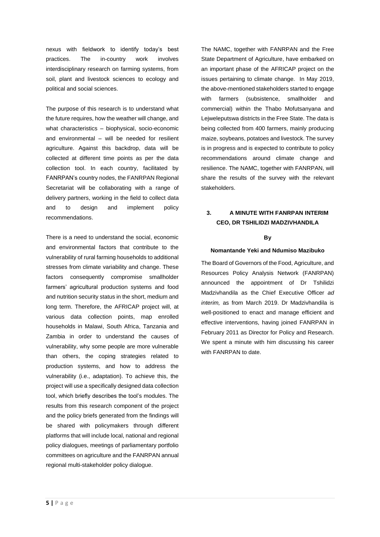nexus with fieldwork to identify today's best practices. The in-country work involves interdisciplinary research on farming systems, from soil, plant and livestock sciences to ecology and political and social sciences.

The purpose of this research is to understand what the future requires, how the weather will change, and what characteristics – biophysical, socio-economic and environmental – will be needed for resilient agriculture. Against this backdrop, data will be collected at different time points as per the data collection tool. In each country, facilitated by FANRPAN's country nodes, the FANRPAN Regional Secretariat will be collaborating with a range of delivery partners, working in the field to collect data and to design and implement policy recommendations.

There is a need to understand the social, economic and environmental factors that contribute to the vulnerability of rural farming households to additional stresses from climate variability and change. These factors consequently compromise smallholder farmers' agricultural production systems and food and nutrition security status in the short, medium and long term. Therefore, the AFRICAP project will, at various data collection points, map enrolled households in Malawi, South Africa, Tanzania and Zambia in order to understand the causes of vulnerability, why some people are more vulnerable than others, the coping strategies related to production systems, and how to address the vulnerability (i.e., adaptation). To achieve this, the project will use a specifically designed data collection tool, which briefly describes the tool's modules. The results from this research component of the project and the policy briefs generated from the findings will be shared with policymakers through different platforms that will include local, national and regional policy dialogues, meetings of parliamentary portfolio committees on agriculture and the FANRPAN annual regional multi-stakeholder policy dialogue.

The NAMC, together with FANRPAN and the Free State Department of Agriculture, have embarked on an important phase of the AFRICAP project on the issues pertaining to climate change. In May 2019, the above-mentioned stakeholders started to engage with farmers (subsistence, smallholder and commercial) within the Thabo Mofutsanyana and Lejweleputswa districts in the Free State. The data is being collected from 400 farmers, mainly producing maize, soybeans, potatoes and livestock. The survey is in progress and is expected to contribute to policy recommendations around climate change and resilience. The NAMC, together with FANRPAN, will share the results of the survey with the relevant stakeholders.

## **3. A MINUTE WITH FANRPAN INTERIM CEO, DR TSHILIDZI MADZIVHANDILA**

#### **By**

#### **Nomantande Yeki and Ndumiso Mazibuko**

The Board of Governors of the Food, Agriculture, and Resources Policy Analysis Network (FANRPAN) announced the appointment of Dr Tshilidzi Madzivhandila as the Chief Executive Officer *ad interim,* as from March 2019. Dr Madzivhandila is well-positioned to enact and manage efficient and effective interventions, having joined FANRPAN in February 2011 as Director for Policy and Research. We spent a minute with him discussing his career with FANRPAN to date.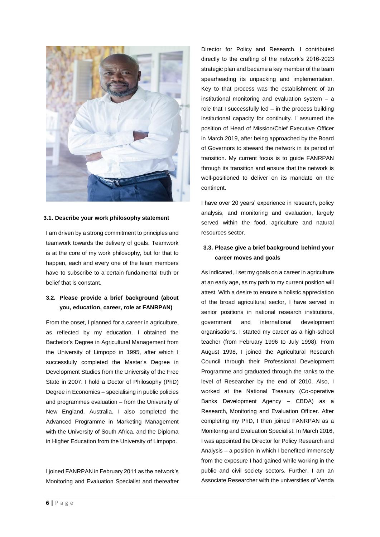

#### **3.1. Describe your work philosophy statement**

I am driven by a strong commitment to principles and teamwork towards the delivery of goals. Teamwork is at the core of my work philosophy, but for that to happen, each and every one of the team members have to subscribe to a certain fundamental truth or belief that is constant.

## **3.2. Please provide a brief background (about you, education, career, role at FANRPAN)**

From the onset, I planned for a career in agriculture, as reflected by my education. I obtained the Bachelor's Degree in Agricultural Management from the University of Limpopo in 1995, after which I successfully completed the Master's Degree in Development Studies from the University of the Free State in 2007. I hold a Doctor of Philosophy (PhD) Degree in Economics – specialising in public policies and programmes evaluation – from the University of New England, Australia. I also completed the Advanced Programme in Marketing Management with the University of South Africa, and the Diploma in Higher Education from the University of Limpopo.

I joined FANRPAN in February 2011 as the network's Monitoring and Evaluation Specialist and thereafter Director for Policy and Research. I contributed directly to the crafting of the network's 2016-2023 strategic plan and became a key member of the team spearheading its unpacking and implementation. Key to that process was the establishment of an institutional monitoring and evaluation system – a role that I successfully led – in the process building institutional capacity for continuity. I assumed the position of Head of Mission/Chief Executive Officer in March 2019, after being approached by the Board of Governors to steward the network in its period of transition. My current focus is to guide FANRPAN through its transition and ensure that the network is well-positioned to deliver on its mandate on the continent.

I have over 20 years' experience in research, policy analysis, and monitoring and evaluation, largely served within the food, agriculture and natural resources sector.

## **3.3. Please give a brief background behind your career moves and goals**

As indicated, I set my goals on a career in agriculture at an early age, as my path to my current position will attest. With a desire to ensure a holistic appreciation of the broad agricultural sector, I have served in senior positions in national research institutions, government and international development organisations. I started my career as a high-school teacher (from February 1996 to July 1998). From August 1998, I joined the Agricultural Research Council through their Professional Development Programme and graduated through the ranks to the level of Researcher by the end of 2010. Also, I worked at the National Treasury (Co-operative Banks Development Agency – CBDA) as a Research, Monitoring and Evaluation Officer. After completing my PhD, I then joined FANRPAN as a Monitoring and Evaluation Specialist. In March 2016, I was appointed the Director for Policy Research and Analysis – a position in which I benefited immensely from the exposure I had gained while working in the public and civil society sectors. Further, I am an Associate Researcher with the universities of Venda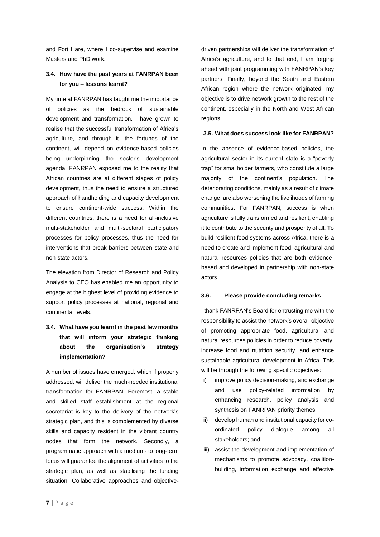and Fort Hare, where I co-supervise and examine Masters and PhD work.

### **3.4. How have the past years at FANRPAN been for you – lessons learnt?**

My time at FANRPAN has taught me the importance of policies as the bedrock of sustainable development and transformation. I have grown to realise that the successful transformation of Africa's agriculture, and through it, the fortunes of the continent, will depend on evidence-based policies being underpinning the sector's development agenda. FANRPAN exposed me to the reality that African countries are at different stages of policy development, thus the need to ensure a structured approach of handholding and capacity development to ensure continent-wide success. Within the different countries, there is a need for all-inclusive multi-stakeholder and multi-sectoral participatory processes for policy processes, thus the need for interventions that break barriers between state and non-state actors.

The elevation from Director of Research and Policy Analysis to CEO has enabled me an opportunity to engage at the highest level of providing evidence to support policy processes at national, regional and continental levels.

# **3.4. What have you learnt in the past few months that will inform your strategic thinking about the organisation's strategy implementation?**

A number of issues have emerged, which if properly addressed, will deliver the much-needed institutional transformation for FANRPAN. Foremost, a stable and skilled staff establishment at the regional secretariat is key to the delivery of the network's strategic plan, and this is complemented by diverse skills and capacity resident in the vibrant country nodes that form the network. Secondly, a programmatic approach with a medium- to long-term focus will guarantee the alignment of activities to the strategic plan, as well as stabilising the funding situation. Collaborative approaches and objectivedriven partnerships will deliver the transformation of Africa's agriculture, and to that end, I am forging ahead with joint programming with FANRPAN's key partners. Finally, beyond the South and Eastern African region where the network originated, my objective is to drive network growth to the rest of the continent, especially in the North and West African regions.

#### **3.5. What does success look like for FANRPAN?**

In the absence of evidence-based policies, the agricultural sector in its current state is a "poverty trap" for smallholder farmers, who constitute a large majority of the continent's population. The deteriorating conditions, mainly as a result of climate change, are also worsening the livelihoods of farming communities. For FANRPAN, success is when agriculture is fully transformed and resilient, enabling it to contribute to the security and prosperity of all. To build resilient food systems across Africa, there is a need to create and implement food, agricultural and natural resources policies that are both evidencebased and developed in partnership with non-state actors.

#### **3.6. Please provide concluding remarks**

I thank FANRPAN's Board for entrusting me with the responsibility to assist the network's overall objective of promoting appropriate food, agricultural and natural resources policies in order to reduce poverty, increase food and nutrition security, and enhance sustainable agricultural development in Africa. This will be through the following specific objectives:

- i) improve policy decision-making, and exchange and use policy-related information by enhancing research, policy analysis and synthesis on FANRPAN priority themes;
- ii) develop human and institutional capacity for coordinated policy dialogue among all stakeholders; and,
- iii) assist the development and implementation of mechanisms to promote advocacy, coalitionbuilding, information exchange and effective